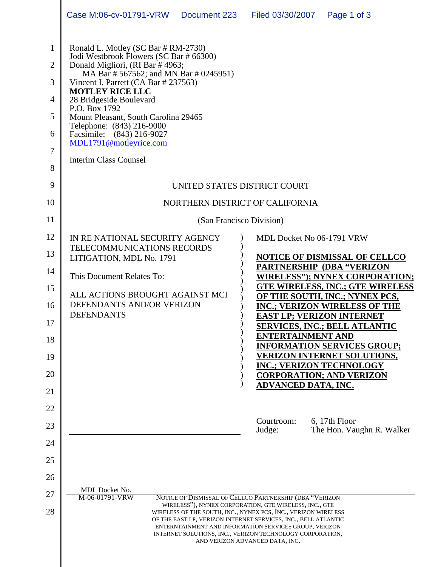|                                                                         | Case M:06-cv-01791-VRW<br>Document 223 Filed 03/30/2007<br>Page 1 of 3                                                                                                                                                                                                                                                                                                                                                                                                |  |  |  |  |
|-------------------------------------------------------------------------|-----------------------------------------------------------------------------------------------------------------------------------------------------------------------------------------------------------------------------------------------------------------------------------------------------------------------------------------------------------------------------------------------------------------------------------------------------------------------|--|--|--|--|
| $\mathbf{1}$<br>$\overline{2}$<br>3<br>4<br>5<br>6<br>7<br>8<br>9<br>10 | Ronald L. Motley (SC Bar # RM-2730)<br>Jodi Westbrook Flowers (SC Bar # 66300)<br>Donald Migliori, (RI Bar #4963;<br>MA Bar # 567562; and MN Bar # 0245951)<br>Vincent I. Parrett (CA Bar # 237563)<br><b>MOTLEY RICE LLC</b><br>28 Bridgeside Boulevard<br>P.O. Box 1792<br>Mount Pleasant, South Carolina 29465<br>Telephone: (843) 216-9000<br>Facsimile: (843) 216-9027<br>MDL1791@motleyrice.com<br><b>Interim Class Counsel</b><br>UNITED STATES DISTRICT COURT |  |  |  |  |
| 11                                                                      | NORTHERN DISTRICT OF CALIFORNIA<br>(San Francisco Division)                                                                                                                                                                                                                                                                                                                                                                                                           |  |  |  |  |
| 12                                                                      | IN RE NATIONAL SECURITY AGENCY<br>MDL Docket No 06-1791 VRW                                                                                                                                                                                                                                                                                                                                                                                                           |  |  |  |  |
| 13                                                                      | TELECOMMUNICATIONS RECORDS<br><b>NOTICE OF DISMISSAL OF CELLCO</b><br>LITIGATION, MDL No. 1791                                                                                                                                                                                                                                                                                                                                                                        |  |  |  |  |
| 14                                                                      | <b>PARTNERSHIP (DBA "VERIZON</b><br>This Document Relates To:<br><b>WIRELESS"); NYNEX CORPORATION;</b>                                                                                                                                                                                                                                                                                                                                                                |  |  |  |  |
| 15                                                                      | <b>GTE WIRELESS, INC.; GTE WIRELESS</b><br>ALL ACTIONS BROUGHT AGAINST MCI<br>OF THE SOUTH, INC.; NYNEX PCS,                                                                                                                                                                                                                                                                                                                                                          |  |  |  |  |
| 16                                                                      | DEFENDANTS AND/OR VERIZON<br><b>INC.; VERIZON WIRELESS OF THE</b><br><b>DEFENDANTS</b>                                                                                                                                                                                                                                                                                                                                                                                |  |  |  |  |
| 17                                                                      | <b>EAST LP; VERIZON INTERNET</b><br><b>SERVICES, INC.; BELL ATLANTIC</b>                                                                                                                                                                                                                                                                                                                                                                                              |  |  |  |  |
| 18                                                                      | <b>ENTERTAINMENT AND</b><br><b>INFORMATION SERVICES GROUP;</b>                                                                                                                                                                                                                                                                                                                                                                                                        |  |  |  |  |
| 19                                                                      | <b>VERIZON INTERNET SOLUTIONS,</b><br><b>INC.; VERIZON TECHNOLOGY</b>                                                                                                                                                                                                                                                                                                                                                                                                 |  |  |  |  |
| 20                                                                      | <b>CORPORATION; AND VERIZON</b><br><b>ADVANCED DATA, INC.</b>                                                                                                                                                                                                                                                                                                                                                                                                         |  |  |  |  |
| 21                                                                      |                                                                                                                                                                                                                                                                                                                                                                                                                                                                       |  |  |  |  |
| 22<br>23                                                                | Courtroom:<br>6, 17th Floor                                                                                                                                                                                                                                                                                                                                                                                                                                           |  |  |  |  |
| 24                                                                      | The Hon. Vaughn R. Walker<br>Judge:                                                                                                                                                                                                                                                                                                                                                                                                                                   |  |  |  |  |
| 25                                                                      |                                                                                                                                                                                                                                                                                                                                                                                                                                                                       |  |  |  |  |
| 26                                                                      |                                                                                                                                                                                                                                                                                                                                                                                                                                                                       |  |  |  |  |
| 27                                                                      | <b>MDL</b> Docket No.<br>M-06-01791-VRW<br>NOTICE OF DISMISSAL OF CELLCO PARTNERSHIP (DBA "VERIZON                                                                                                                                                                                                                                                                                                                                                                    |  |  |  |  |
| 28                                                                      | WIRELESS"), NYNEX CORPORATION, GTE WIRELESS, INC., GTE<br>WIRELESS OF THE SOUTH, INC., NYNEX PCS, INC., VERIZON WIRELESS<br>OF THE EAST LP, VERIZON INTERNET SERVICES, INC., BELL ATLANTIC<br>ENTERNTAINMENT AND INFORMATION SERVICES GROUP, VERIZON<br>INTERNET SOLUTIONS, INC., VERIZON TECHNOLOGY CORPORATION,<br>AND VERIZON ADVANCED DATA, INC.                                                                                                                  |  |  |  |  |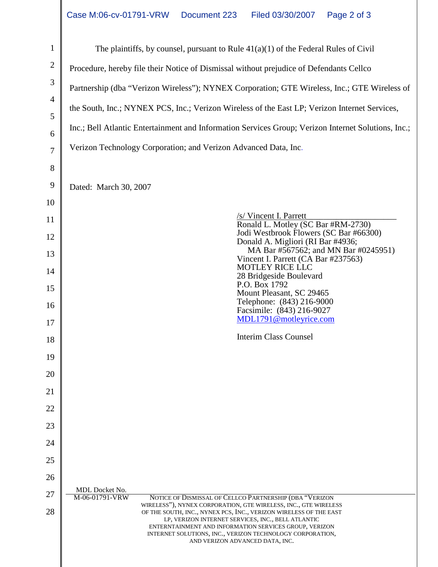| $\mathbf{1}$   | The plaintiffs, by counsel, pursuant to Rule $41(a)(1)$ of the Federal Rules of Civil                                                                                                                                                                                             |  |  |  |  |  |
|----------------|-----------------------------------------------------------------------------------------------------------------------------------------------------------------------------------------------------------------------------------------------------------------------------------|--|--|--|--|--|
| $\overline{2}$ | Procedure, hereby file their Notice of Dismissal without prejudice of Defendants Cellco                                                                                                                                                                                           |  |  |  |  |  |
| 3              | Partnership (dba "Verizon Wireless"); NYNEX Corporation; GTE Wireless, Inc.; GTE Wireless of                                                                                                                                                                                      |  |  |  |  |  |
| 4              | the South, Inc.; NYNEX PCS, Inc.; Verizon Wireless of the East LP; Verizon Internet Services,                                                                                                                                                                                     |  |  |  |  |  |
| 5              | Inc.; Bell Atlantic Entertainment and Information Services Group; Verizon Internet Solutions, Inc.;                                                                                                                                                                               |  |  |  |  |  |
| 6              |                                                                                                                                                                                                                                                                                   |  |  |  |  |  |
| $\overline{7}$ | Verizon Technology Corporation; and Verizon Advanced Data, Inc.                                                                                                                                                                                                                   |  |  |  |  |  |
| 8              |                                                                                                                                                                                                                                                                                   |  |  |  |  |  |
| 9              | Dated: March 30, 2007                                                                                                                                                                                                                                                             |  |  |  |  |  |
| 10             | /s/ Vincent I. Parrett                                                                                                                                                                                                                                                            |  |  |  |  |  |
| 11             | Ronald L. Motley (SC Bar #RM-2730)<br>Jodi Westbrook Flowers (SC Bar #66300)                                                                                                                                                                                                      |  |  |  |  |  |
| 12<br>13       | Donald A. Migliori (RI Bar #4936;<br>MA Bar #567562; and MN Bar #0245951)                                                                                                                                                                                                         |  |  |  |  |  |
| 14             | Vincent I. Parrett (CA Bar #237563)<br><b>MOTLEY RICE LLC</b>                                                                                                                                                                                                                     |  |  |  |  |  |
| 15             | 28 Bridgeside Boulevard<br>P.O. Box 1792                                                                                                                                                                                                                                          |  |  |  |  |  |
| 16             | Mount Pleasant, SC 29465<br>Telephone: (843) 216-9000                                                                                                                                                                                                                             |  |  |  |  |  |
| 17             | Facsimile: (843) 216-9027<br>MDL1791@motleyrice.com                                                                                                                                                                                                                               |  |  |  |  |  |
| 18             | <b>Interim Class Counsel</b>                                                                                                                                                                                                                                                      |  |  |  |  |  |
| 19             |                                                                                                                                                                                                                                                                                   |  |  |  |  |  |
| 20             |                                                                                                                                                                                                                                                                                   |  |  |  |  |  |
| 21             |                                                                                                                                                                                                                                                                                   |  |  |  |  |  |
| 22             |                                                                                                                                                                                                                                                                                   |  |  |  |  |  |
| 23             |                                                                                                                                                                                                                                                                                   |  |  |  |  |  |
| 24             |                                                                                                                                                                                                                                                                                   |  |  |  |  |  |
| 25             |                                                                                                                                                                                                                                                                                   |  |  |  |  |  |
| 26             |                                                                                                                                                                                                                                                                                   |  |  |  |  |  |
| 27             | MDL Docket No.<br>M-06-01791-VRW<br>NOTICE OF DISMISSAL OF CELLCO PARTNERSHIP (DBA "VERIZON<br>WIRELESS"), NYNEX CORPORATION, GTE WIRELESS, INC., GTE WIRELESS                                                                                                                    |  |  |  |  |  |
| 28             | OF THE SOUTH, INC., NYNEX PCS, INC., VERIZON WIRELESS OF THE EAST<br>LP, VERIZON INTERNET SERVICES, INC., BELL ATLANTIC<br>ENTERNTAINMENT AND INFORMATION SERVICES GROUP, VERIZON<br>INTERNET SOLUTIONS, INC., VERIZON TECHNOLOGY CORPORATION,<br>AND VERIZON ADVANCED DATA, INC. |  |  |  |  |  |